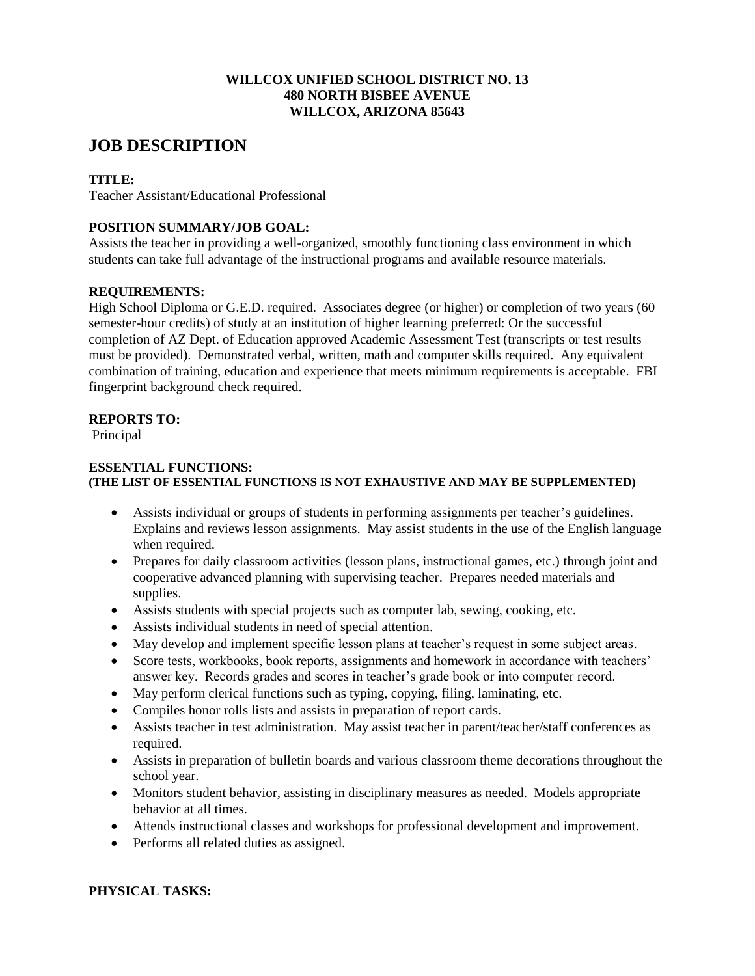### **WILLCOX UNIFIED SCHOOL DISTRICT NO. 13 480 NORTH BISBEE AVENUE WILLCOX, ARIZONA 85643**

# **JOB DESCRIPTION**

# **TITLE:**

Teacher Assistant/Educational Professional

# **POSITION SUMMARY/JOB GOAL:**

Assists the teacher in providing a well-organized, smoothly functioning class environment in which students can take full advantage of the instructional programs and available resource materials.

# **REQUIREMENTS:**

High School Diploma or G.E.D. required. Associates degree (or higher) or completion of two years (60 semester-hour credits) of study at an institution of higher learning preferred: Or the successful completion of AZ Dept. of Education approved Academic Assessment Test (transcripts or test results must be provided). Demonstrated verbal, written, math and computer skills required. Any equivalent combination of training, education and experience that meets minimum requirements is acceptable. FBI fingerprint background check required.

# **REPORTS TO:**

Principal

#### **ESSENTIAL FUNCTIONS: (THE LIST OF ESSENTIAL FUNCTIONS IS NOT EXHAUSTIVE AND MAY BE SUPPLEMENTED)**

- Assists individual or groups of students in performing assignments per teacher's guidelines. Explains and reviews lesson assignments. May assist students in the use of the English language when required.
- Prepares for daily classroom activities (lesson plans, instructional games, etc.) through joint and cooperative advanced planning with supervising teacher. Prepares needed materials and supplies.
- Assists students with special projects such as computer lab, sewing, cooking, etc.
- Assists individual students in need of special attention.
- May develop and implement specific lesson plans at teacher's request in some subject areas.
- Score tests, workbooks, book reports, assignments and homework in accordance with teachers' answer key. Records grades and scores in teacher's grade book or into computer record.
- May perform clerical functions such as typing, copying, filing, laminating, etc.
- Compiles honor rolls lists and assists in preparation of report cards.
- Assists teacher in test administration. May assist teacher in parent/teacher/staff conferences as required.
- Assists in preparation of bulletin boards and various classroom theme decorations throughout the school year.
- Monitors student behavior, assisting in disciplinary measures as needed. Models appropriate behavior at all times.
- Attends instructional classes and workshops for professional development and improvement.
- Performs all related duties as assigned.

# **PHYSICAL TASKS:**